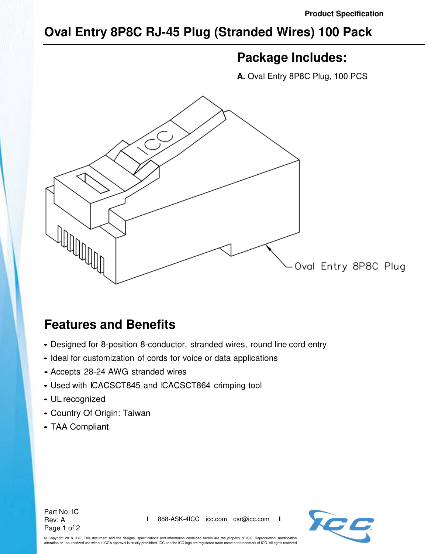## **Oval Entry 8P8C RJ-45 Plug (Stranded Wires) 100 Pack**

## **Package Includes:**

**A.** Oval Entry 8P8C Plug, 100 PCS



## **Features and Benefits**

- Designed for 8-position 8-conductor, stranded wires, round line cord entry
- Ideal for customization of cords for voice or data applications
- Accepts 28-24 AWG stranded wires
- Used with ICACSCT845 and ICACSCT864 crimping tool
- UL recognized
- Country Of Origin: Taiwan
- TAA Compliant





© Copyright 2018, ICC. This document and the designs, specifications and information contained herein are the property of ICC. Reproduction, modification, alteration or unauthorized use without ICC's approval is strictly prohibited. ICC and the ICC logo are registered trade name and trademark of ICC. All rights reserved.